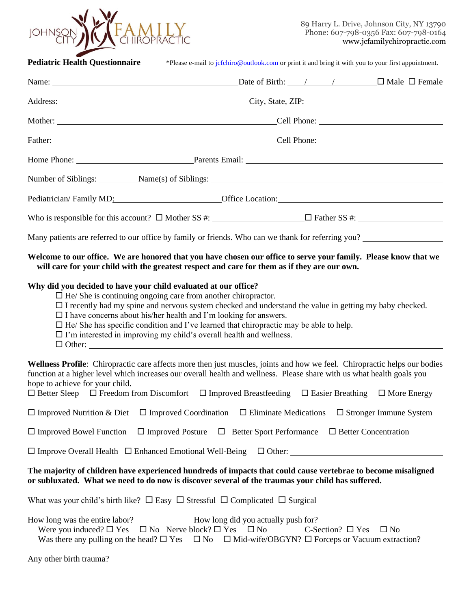

89 Harry L. Drive, Johnson City, NY 13790 Phone: 607-798-0356 Fax: 607-798-0164 www.jcfamilychiropractic.com

| <b>Pediatric Health Questionnaire</b>                                                                                                                                                                                                                                                                                                                                                                                                                                                                                   |                                                         | *Please e-mail to jefchiro@outlook.com or print it and bring it with you to your first appointment. |                                       |                             |  |
|-------------------------------------------------------------------------------------------------------------------------------------------------------------------------------------------------------------------------------------------------------------------------------------------------------------------------------------------------------------------------------------------------------------------------------------------------------------------------------------------------------------------------|---------------------------------------------------------|-----------------------------------------------------------------------------------------------------|---------------------------------------|-----------------------------|--|
|                                                                                                                                                                                                                                                                                                                                                                                                                                                                                                                         |                                                         |                                                                                                     |                                       |                             |  |
| Address: City, State, ZIP: City, State, ZIP:                                                                                                                                                                                                                                                                                                                                                                                                                                                                            |                                                         |                                                                                                     |                                       |                             |  |
|                                                                                                                                                                                                                                                                                                                                                                                                                                                                                                                         | Mother: Cell Phone: Cell Phone:                         |                                                                                                     |                                       |                             |  |
| Father: Cell Phone: Cell Phone:                                                                                                                                                                                                                                                                                                                                                                                                                                                                                         |                                                         |                                                                                                     |                                       |                             |  |
| Home Phone: <u>Parents Email:</u>                                                                                                                                                                                                                                                                                                                                                                                                                                                                                       |                                                         |                                                                                                     |                                       |                             |  |
| Number of Siblings: Name(s) of Siblings: Name(s) of Siblings: Number of Siblings:                                                                                                                                                                                                                                                                                                                                                                                                                                       |                                                         |                                                                                                     |                                       |                             |  |
| Pediatrician/Family MD: Cffice Location: Cffice Location:                                                                                                                                                                                                                                                                                                                                                                                                                                                               |                                                         |                                                                                                     |                                       |                             |  |
| Who is responsible for this account? $\Box$ Mother SS #: $\Box$ Father SS #: $\Box$                                                                                                                                                                                                                                                                                                                                                                                                                                     |                                                         |                                                                                                     |                                       |                             |  |
| Many patients are referred to our office by family or friends. Who can we thank for referring you?                                                                                                                                                                                                                                                                                                                                                                                                                      |                                                         |                                                                                                     |                                       |                             |  |
| Welcome to our office. We are honored that you have chosen our office to serve your family. Please know that we<br>will care for your child with the greatest respect and care for them as if they are our own.                                                                                                                                                                                                                                                                                                         |                                                         |                                                                                                     |                                       |                             |  |
| Why did you decided to have your child evaluated at our office?<br>$\Box$ He/ She is continuing ongoing care from another chiropractor.<br>$\Box$ I recently had my spine and nervous system checked and understand the value in getting my baby checked.<br>$\Box$ I have concerns about his/her health and I'm looking for answers.<br>$\Box$ He/ She has specific condition and I've learned that chiropractic may be able to help.<br>$\square$ I'm interested in improving my child's overall health and wellness. |                                                         |                                                                                                     |                                       |                             |  |
| Wellness Profile: Chiropractic care affects more then just muscles, joints and how we feel. Chiropractic helps our bodies<br>function at a higher level which increases our overall health and wellness. Please share with us what health goals you<br>hope to achieve for your child.<br>$\Box$ Better Sleep $\Box$ Freedom from Discomfort $\Box$ Improved Breastfeeding $\Box$ Easier Breathing $\Box$ More Energy                                                                                                   |                                                         |                                                                                                     |                                       |                             |  |
| $\Box$ Improved Nutrition & Diet $\Box$ Improved Coordination $\Box$ Eliminate Medications $\Box$ Stronger Immune System                                                                                                                                                                                                                                                                                                                                                                                                |                                                         |                                                                                                     |                                       |                             |  |
| $\Box$ Improved Bowel Function                                                                                                                                                                                                                                                                                                                                                                                                                                                                                          | $\Box$ Improved Posture $\Box$ Better Sport Performance |                                                                                                     |                                       | $\Box$ Better Concentration |  |
| $\Box$ Improve Overall Health $\Box$ Enhanced Emotional Well-Being $\Box$ Other:                                                                                                                                                                                                                                                                                                                                                                                                                                        |                                                         |                                                                                                     |                                       |                             |  |
| The majority of children have experienced hundreds of impacts that could cause vertebrae to become misaligned<br>or subluxated. What we need to do now is discover several of the traumas your child has suffered.                                                                                                                                                                                                                                                                                                      |                                                         |                                                                                                     |                                       |                             |  |
| What was your child's birth like? $\Box$ Easy $\Box$ Stressful $\Box$ Complicated $\Box$ Surgical                                                                                                                                                                                                                                                                                                                                                                                                                       |                                                         |                                                                                                     |                                       |                             |  |
| How long was the entire labor? __________________How long did you actually push for?<br>Were you induced? $\square$ Yes $\square$ No Nerve block? $\square$ Yes $\square$ No<br>Was there any pulling on the head? $\Box$ Yes $\Box$ No $\Box$ Mid-wife/OBGYN? $\Box$ Forceps or Vacuum extraction?                                                                                                                                                                                                                     |                                                         |                                                                                                     | C-Section? $\square$ Yes $\square$ No |                             |  |
|                                                                                                                                                                                                                                                                                                                                                                                                                                                                                                                         |                                                         |                                                                                                     |                                       |                             |  |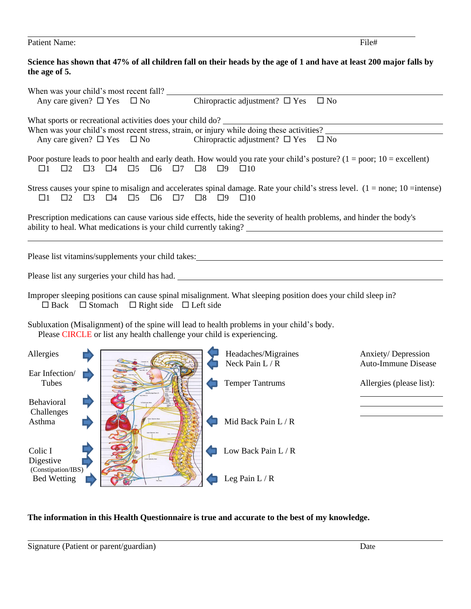| <b>Patient Name:</b> | File# |
|----------------------|-------|
|                      |       |

## **Science has shown that 47% of all children fall on their heads by the age of 1 and have at least 200 major falls by the age of 5.**

| When was your child's most recent fall?<br>$\Box$ $\nabla_{\alpha}$ Chiropractic adjustment? $\Box$ Yes $\Box$ No                                                                                                                                                  |                          |                          |  |  |  |  |
|--------------------------------------------------------------------------------------------------------------------------------------------------------------------------------------------------------------------------------------------------------------------|--------------------------|--------------------------|--|--|--|--|
| When was your child's most recent stress, strain, or injury while doing these activities?<br>Any care given? $\square$ Yes $\square$ No<br>Chiropractic adjustment? $\square$ Yes $\square$ No                                                                     |                          |                          |  |  |  |  |
| Poor posture leads to poor health and early death. How would you rate your child's posture? $(1 = poor; 10 = excellent)$<br>$\Box 5$<br>$\Box 6$<br>$\square$ 7 $\square$ 8<br>$\Box$ 3<br>$\Box 4$<br>$\square$<br>$\Box$ 2                                       | $\Box$ 9<br>$\square$ 10 |                          |  |  |  |  |
| Stress causes your spine to misalign and accelerates spinal damage. Rate your child's stress level. $(1 = none; 10 = intense)$<br>$\Box 2 \quad \Box 3 \quad \Box 4 \quad \Box 5 \quad \Box 6 \quad \Box 7 \quad \Box 8 \quad \Box 9 \quad \Box 10$<br>$\square$ 1 |                          |                          |  |  |  |  |
| Prescription medications can cause various side effects, hide the severity of health problems, and hinder the body's                                                                                                                                               |                          |                          |  |  |  |  |
| Please list vitamins/supplements your child takes: 1999 and 2009 and 2009 and 2009 and 2009 and 2009 and 2009 and 2009 and 2009 and 2009 and 2009 and 2009 and 2009 and 2009 and 2009 and 2009 and 2009 and 2009 and 2009 and                                      |                          |                          |  |  |  |  |
|                                                                                                                                                                                                                                                                    |                          |                          |  |  |  |  |
| Improper sleeping positions can cause spinal misalignment. What sleeping position does your child sleep in?<br>$\Box$ Back $\Box$ Stomach $\Box$ Right side $\Box$ Left side                                                                                       |                          |                          |  |  |  |  |
| Subluxation (Misalignment) of the spine will lead to health problems in your child's body.<br>Please CIRCLE or list any health challenge your child is experiencing.                                                                                               |                          |                          |  |  |  |  |
| Allergies                                                                                                                                                                                                                                                          | Headaches/Migraines      | Anxiety/Depression       |  |  |  |  |
| Ear Infection/                                                                                                                                                                                                                                                     | Neck Pain L / R          | Auto-Immune Disease      |  |  |  |  |
| Tubes                                                                                                                                                                                                                                                              | <b>Temper Tantrums</b>   | Allergies (please list): |  |  |  |  |
| <b>Behavioral</b><br>Challenges                                                                                                                                                                                                                                    |                          |                          |  |  |  |  |
| Asthma                                                                                                                                                                                                                                                             | Mid Back Pain L / R      |                          |  |  |  |  |
| Colic I<br>Digestive                                                                                                                                                                                                                                               | Low Back Pain L / R      |                          |  |  |  |  |
| (Constipation/IBS)<br><b>Bed Wetting</b>                                                                                                                                                                                                                           | Leg Pain $L/R$           |                          |  |  |  |  |

# **The information in this Health Questionnaire is true and accurate to the best of my knowledge.**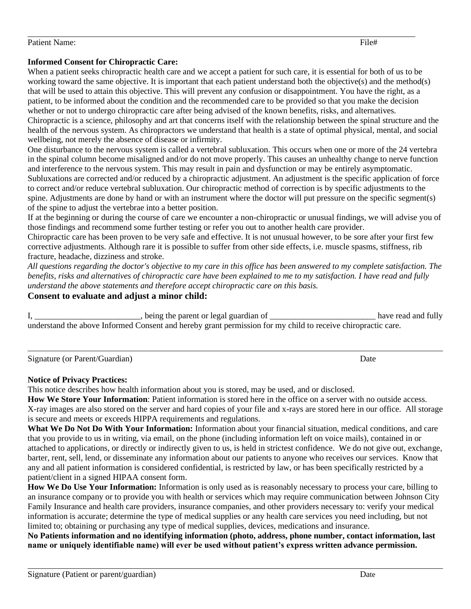#### Patient Name: File + File + File + File + File + File + File + File + File + File + File + File + File + File + File + File + File + File + File + File + File + File + File + File + File + File + File + File + File + File

#### **Informed Consent for Chiropractic Care:**

When a patient seeks chiropractic health care and we accept a patient for such care, it is essential for both of us to be working toward the same objective. It is important that each patient understand both the objective(s) and the method(s) that will be used to attain this objective. This will prevent any confusion or disappointment. You have the right, as a patient, to be informed about the condition and the recommended care to be provided so that you make the decision whether or not to undergo chiropractic care after being advised of the known benefits, risks, and alternatives. Chiropractic is a science, philosophy and art that concerns itself with the relationship between the spinal structure and the health of the nervous system. As chiropractors we understand that health is a state of optimal physical, mental, and social wellbeing, not merely the absence of disease or infirmity.

One disturbance to the nervous system is called a vertebral subluxation. This occurs when one or more of the 24 vertebra in the spinal column become misaligned and/or do not move properly. This causes an unhealthy change to nerve function and interference to the nervous system. This may result in pain and dysfunction or may be entirely asymptomatic. Subluxations are corrected and/or reduced by a chiropractic adjustment. An adjustment is the specific application of force to correct and/or reduce vertebral subluxation. Our chiropractic method of correction is by specific adjustments to the spine. Adjustments are done by hand or with an instrument where the doctor will put pressure on the specific segment(s) of the spine to adjust the vertebrae into a better position.

If at the beginning or during the course of care we encounter a non-chiropractic or unusual findings, we will advise you of those findings and recommend some further testing or refer you out to another health care provider.

Chiropractic care has been proven to be very safe and effective. It is not unusual however, to be sore after your first few corrective adjustments. Although rare it is possible to suffer from other side effects, i.e. muscle spasms, stiffness, rib fracture, headache, dizziness and stroke.

*All questions regarding the doctor's objective to my care in this office has been answered to my complete satisfaction. The benefits, risks and alternatives of chiropractic care have been explained to me to my satisfaction. I have read and fully understand the above statements and therefore accept chiropractic care on this basis.*

### **Consent to evaluate and adjust a minor child:**

| , being the parent or legal guardian of                                                                      | have read and fully |
|--------------------------------------------------------------------------------------------------------------|---------------------|
| understand the above Informed Consent and hereby grant permission for my child to receive chiropractic care. |                     |

Signature (or Parent/Guardian) Date

#### **Notice of Privacy Practices:**

This notice describes how health information about you is stored, may be used, and or disclosed.

**How We Store Your Information**: Patient information is stored here in the office on a server with no outside access. X-ray images are also stored on the server and hard copies of your file and x-rays are stored here in our office. All storage is secure and meets or exceeds HIPPA requirements and regulations.

**What We Do Not Do With Your Information:** Information about your financial situation, medical conditions, and care that you provide to us in writing, via email, on the phone (including information left on voice mails), contained in or attached to applications, or directly or indirectly given to us, is held in strictest confidence. We do not give out, exchange, barter, rent, sell, lend, or disseminate any information about our patients to anyone who receives our services. Know that any and all patient information is considered confidential, is restricted by law, or has been specifically restricted by a patient/client in a signed HIPAA consent form.

**How We Do Use Your Information:** Information is only used as is reasonably necessary to process your care, billing to an insurance company or to provide you with health or services which may require communication between Johnson City Family Insurance and health care providers, insurance companies, and other providers necessary to: verify your medical information is accurate; determine the type of medical supplies or any health care services you need including, but not limited to; obtaining or purchasing any type of medical supplies, devices, medications and insurance.

**No Patients information and no identifying information (photo, address, phone number, contact information, last name or uniquely identifiable name) will ever be used without patient's express written advance permission.** 

l.